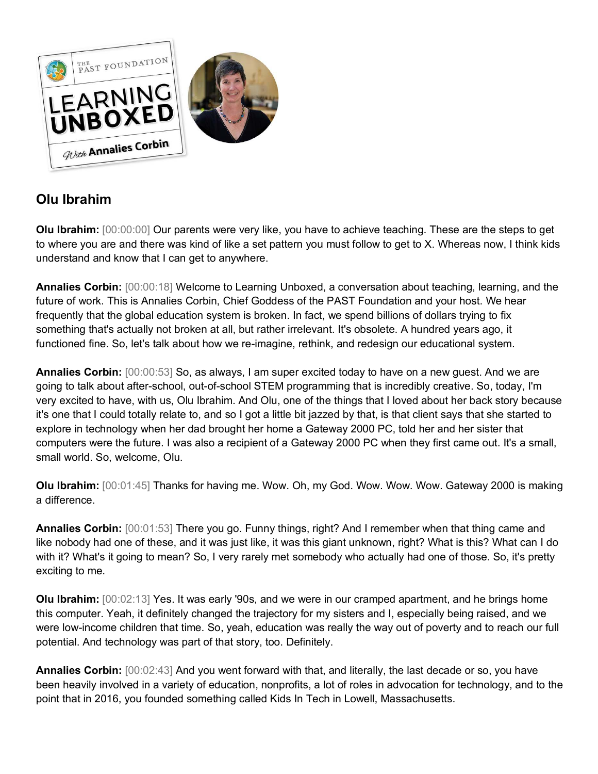

## **Olu Ibrahim**

**Olu Ibrahim:** [00:00:00] Our parents were very like, you have to achieve teaching. These are the steps to get to where you are and there was kind of like a set pattern you must follow to get to X. Whereas now, I think kids understand and know that I can get to anywhere.

**Annalies Corbin:** [00:00:18] Welcome to Learning Unboxed, a conversation about teaching, learning, and the future of work. This is Annalies Corbin, Chief Goddess of the PAST Foundation and your host. We hear frequently that the global education system is broken. In fact, we spend billions of dollars trying to fix something that's actually not broken at all, but rather irrelevant. It's obsolete. A hundred years ago, it functioned fine. So, let's talk about how we re-imagine, rethink, and redesign our educational system.

**Annalies Corbin:** [00:00:53] So, as always, I am super excited today to have on a new guest. And we are going to talk about after-school, out-of-school STEM programming that is incredibly creative. So, today, I'm very excited to have, with us, Olu Ibrahim. And Olu, one of the things that I loved about her back story because it's one that I could totally relate to, and so I got a little bit jazzed by that, is that client says that she started to explore in technology when her dad brought her home a Gateway 2000 PC, told her and her sister that computers were the future. I was also a recipient of a Gateway 2000 PC when they first came out. It's a small, small world. So, welcome, Olu.

**Olu Ibrahim:** [00:01:45] Thanks for having me. Wow. Oh, my God. Wow. Wow. Wow. Gateway 2000 is making a difference.

**Annalies Corbin:** [00:01:53] There you go. Funny things, right? And I remember when that thing came and like nobody had one of these, and it was just like, it was this giant unknown, right? What is this? What can I do with it? What's it going to mean? So, I very rarely met somebody who actually had one of those. So, it's pretty exciting to me.

**Olu Ibrahim:** [00:02:13] Yes. It was early '90s, and we were in our cramped apartment, and he brings home this computer. Yeah, it definitely changed the trajectory for my sisters and I, especially being raised, and we were low-income children that time. So, yeah, education was really the way out of poverty and to reach our full potential. And technology was part of that story, too. Definitely.

**Annalies Corbin:** [00:02:43] And you went forward with that, and literally, the last decade or so, you have been heavily involved in a variety of education, nonprofits, a lot of roles in advocation for technology, and to the point that in 2016, you founded something called Kids In Tech in Lowell, Massachusetts.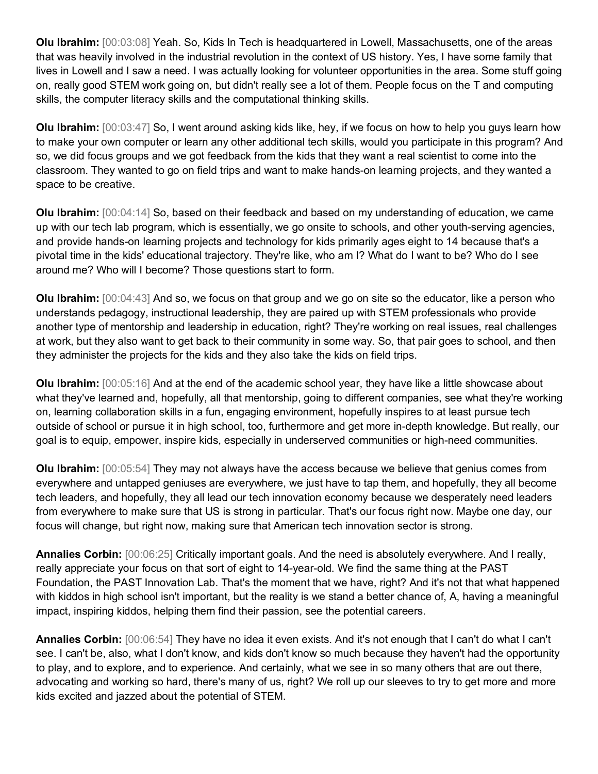**Olu Ibrahim:** [00:03:08] Yeah. So, Kids In Tech is headquartered in Lowell, Massachusetts, one of the areas that was heavily involved in the industrial revolution in the context of US history. Yes, I have some family that lives in Lowell and I saw a need. I was actually looking for volunteer opportunities in the area. Some stuff going on, really good STEM work going on, but didn't really see a lot of them. People focus on the T and computing skills, the computer literacy skills and the computational thinking skills.

**Olu Ibrahim:** [00:03:47] So, I went around asking kids like, hey, if we focus on how to help you guys learn how to make your own computer or learn any other additional tech skills, would you participate in this program? And so, we did focus groups and we got feedback from the kids that they want a real scientist to come into the classroom. They wanted to go on field trips and want to make hands-on learning projects, and they wanted a space to be creative.

**Olu Ibrahim:** [00:04:14] So, based on their feedback and based on my understanding of education, we came up with our tech lab program, which is essentially, we go onsite to schools, and other youth-serving agencies, and provide hands-on learning projects and technology for kids primarily ages eight to 14 because that's a pivotal time in the kids' educational trajectory. They're like, who am I? What do I want to be? Who do I see around me? Who will I become? Those questions start to form.

**Olu Ibrahim:** [00:04:43] And so, we focus on that group and we go on site so the educator, like a person who understands pedagogy, instructional leadership, they are paired up with STEM professionals who provide another type of mentorship and leadership in education, right? They're working on real issues, real challenges at work, but they also want to get back to their community in some way. So, that pair goes to school, and then they administer the projects for the kids and they also take the kids on field trips.

**Olu Ibrahim:** [00:05:16] And at the end of the academic school year, they have like a little showcase about what they've learned and, hopefully, all that mentorship, going to different companies, see what they're working on, learning collaboration skills in a fun, engaging environment, hopefully inspires to at least pursue tech outside of school or pursue it in high school, too, furthermore and get more in-depth knowledge. But really, our goal is to equip, empower, inspire kids, especially in underserved communities or high-need communities.

**Olu Ibrahim:** [00:05:54] They may not always have the access because we believe that genius comes from everywhere and untapped geniuses are everywhere, we just have to tap them, and hopefully, they all become tech leaders, and hopefully, they all lead our tech innovation economy because we desperately need leaders from everywhere to make sure that US is strong in particular. That's our focus right now. Maybe one day, our focus will change, but right now, making sure that American tech innovation sector is strong.

**Annalies Corbin:** [00:06:25] Critically important goals. And the need is absolutely everywhere. And I really, really appreciate your focus on that sort of eight to 14-year-old. We find the same thing at the PAST Foundation, the PAST Innovation Lab. That's the moment that we have, right? And it's not that what happened with kiddos in high school isn't important, but the reality is we stand a better chance of, A, having a meaningful impact, inspiring kiddos, helping them find their passion, see the potential careers.

**Annalies Corbin:** [00:06:54] They have no idea it even exists. And it's not enough that I can't do what I can't see. I can't be, also, what I don't know, and kids don't know so much because they haven't had the opportunity to play, and to explore, and to experience. And certainly, what we see in so many others that are out there, advocating and working so hard, there's many of us, right? We roll up our sleeves to try to get more and more kids excited and jazzed about the potential of STEM.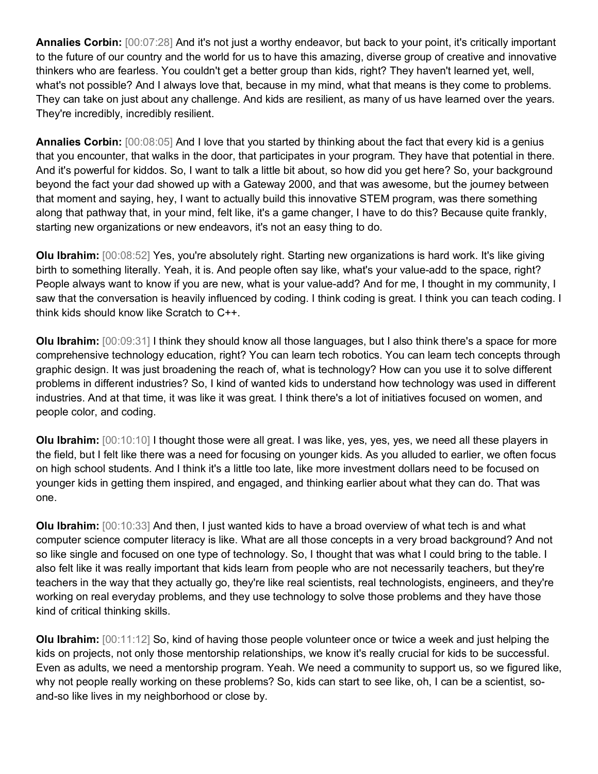**Annalies Corbin:** [00:07:28] And it's not just a worthy endeavor, but back to your point, it's critically important to the future of our country and the world for us to have this amazing, diverse group of creative and innovative thinkers who are fearless. You couldn't get a better group than kids, right? They haven't learned yet, well, what's not possible? And I always love that, because in my mind, what that means is they come to problems. They can take on just about any challenge. And kids are resilient, as many of us have learned over the years. They're incredibly, incredibly resilient.

**Annalies Corbin:** [00:08:05] And I love that you started by thinking about the fact that every kid is a genius that you encounter, that walks in the door, that participates in your program. They have that potential in there. And it's powerful for kiddos. So, I want to talk a little bit about, so how did you get here? So, your background beyond the fact your dad showed up with a Gateway 2000, and that was awesome, but the journey between that moment and saying, hey, I want to actually build this innovative STEM program, was there something along that pathway that, in your mind, felt like, it's a game changer, I have to do this? Because quite frankly, starting new organizations or new endeavors, it's not an easy thing to do.

**Olu Ibrahim:** [00:08:52] Yes, you're absolutely right. Starting new organizations is hard work. It's like giving birth to something literally. Yeah, it is. And people often say like, what's your value-add to the space, right? People always want to know if you are new, what is your value-add? And for me, I thought in my community, I saw that the conversation is heavily influenced by coding. I think coding is great. I think you can teach coding. I think kids should know like Scratch to C++.

**Olu Ibrahim:** [00:09:31] I think they should know all those languages, but I also think there's a space for more comprehensive technology education, right? You can learn tech robotics. You can learn tech concepts through graphic design. It was just broadening the reach of, what is technology? How can you use it to solve different problems in different industries? So, I kind of wanted kids to understand how technology was used in different industries. And at that time, it was like it was great. I think there's a lot of initiatives focused on women, and people color, and coding.

**Olu Ibrahim:** [00:10:10] I thought those were all great. I was like, yes, yes, yes, we need all these players in the field, but I felt like there was a need for focusing on younger kids. As you alluded to earlier, we often focus on high school students. And I think it's a little too late, like more investment dollars need to be focused on younger kids in getting them inspired, and engaged, and thinking earlier about what they can do. That was one.

**Olu Ibrahim:** [00:10:33] And then, I just wanted kids to have a broad overview of what tech is and what computer science computer literacy is like. What are all those concepts in a very broad background? And not so like single and focused on one type of technology. So, I thought that was what I could bring to the table. I also felt like it was really important that kids learn from people who are not necessarily teachers, but they're teachers in the way that they actually go, they're like real scientists, real technologists, engineers, and they're working on real everyday problems, and they use technology to solve those problems and they have those kind of critical thinking skills.

**Olu Ibrahim:** [00:11:12] So, kind of having those people volunteer once or twice a week and just helping the kids on projects, not only those mentorship relationships, we know it's really crucial for kids to be successful. Even as adults, we need a mentorship program. Yeah. We need a community to support us, so we figured like, why not people really working on these problems? So, kids can start to see like, oh, I can be a scientist, soand-so like lives in my neighborhood or close by.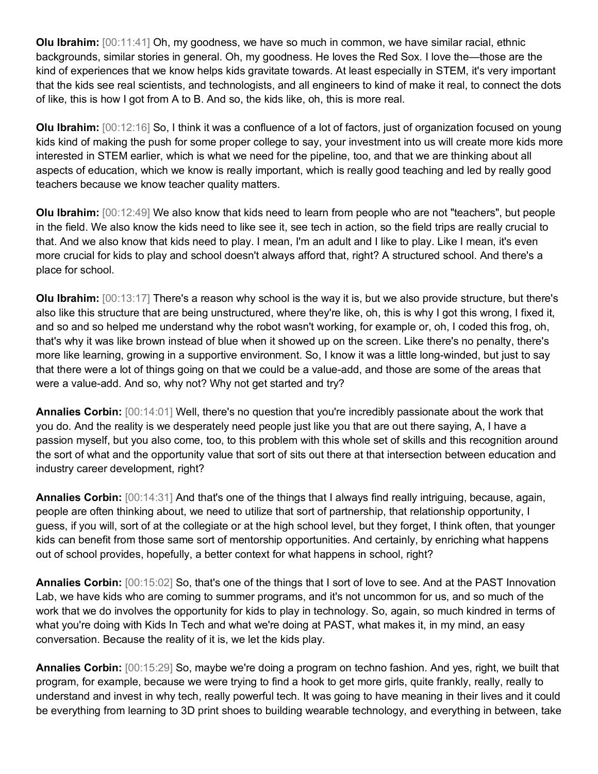**Olu Ibrahim:** [00:11:41] Oh, my goodness, we have so much in common, we have similar racial, ethnic backgrounds, similar stories in general. Oh, my goodness. He loves the Red Sox. I love the—those are the kind of experiences that we know helps kids gravitate towards. At least especially in STEM, it's very important that the kids see real scientists, and technologists, and all engineers to kind of make it real, to connect the dots of like, this is how I got from A to B. And so, the kids like, oh, this is more real.

**Olu Ibrahim:** [00:12:16] So, I think it was a confluence of a lot of factors, just of organization focused on young kids kind of making the push for some proper college to say, your investment into us will create more kids more interested in STEM earlier, which is what we need for the pipeline, too, and that we are thinking about all aspects of education, which we know is really important, which is really good teaching and led by really good teachers because we know teacher quality matters.

**Olu Ibrahim:** [00:12:49] We also know that kids need to learn from people who are not "teachers", but people in the field. We also know the kids need to like see it, see tech in action, so the field trips are really crucial to that. And we also know that kids need to play. I mean, I'm an adult and I like to play. Like I mean, it's even more crucial for kids to play and school doesn't always afford that, right? A structured school. And there's a place for school.

**Olu Ibrahim:** [00:13:17] There's a reason why school is the way it is, but we also provide structure, but there's also like this structure that are being unstructured, where they're like, oh, this is why I got this wrong, I fixed it, and so and so helped me understand why the robot wasn't working, for example or, oh, I coded this frog, oh, that's why it was like brown instead of blue when it showed up on the screen. Like there's no penalty, there's more like learning, growing in a supportive environment. So, I know it was a little long-winded, but just to say that there were a lot of things going on that we could be a value-add, and those are some of the areas that were a value-add. And so, why not? Why not get started and try?

**Annalies Corbin:** [00:14:01] Well, there's no question that you're incredibly passionate about the work that you do. And the reality is we desperately need people just like you that are out there saying, A, I have a passion myself, but you also come, too, to this problem with this whole set of skills and this recognition around the sort of what and the opportunity value that sort of sits out there at that intersection between education and industry career development, right?

**Annalies Corbin:** [00:14:31] And that's one of the things that I always find really intriguing, because, again, people are often thinking about, we need to utilize that sort of partnership, that relationship opportunity, I guess, if you will, sort of at the collegiate or at the high school level, but they forget, I think often, that younger kids can benefit from those same sort of mentorship opportunities. And certainly, by enriching what happens out of school provides, hopefully, a better context for what happens in school, right?

**Annalies Corbin:** [00:15:02] So, that's one of the things that I sort of love to see. And at the PAST Innovation Lab, we have kids who are coming to summer programs, and it's not uncommon for us, and so much of the work that we do involves the opportunity for kids to play in technology. So, again, so much kindred in terms of what you're doing with Kids In Tech and what we're doing at PAST, what makes it, in my mind, an easy conversation. Because the reality of it is, we let the kids play.

**Annalies Corbin:** [00:15:29] So, maybe we're doing a program on techno fashion. And yes, right, we built that program, for example, because we were trying to find a hook to get more girls, quite frankly, really, really to understand and invest in why tech, really powerful tech. It was going to have meaning in their lives and it could be everything from learning to 3D print shoes to building wearable technology, and everything in between, take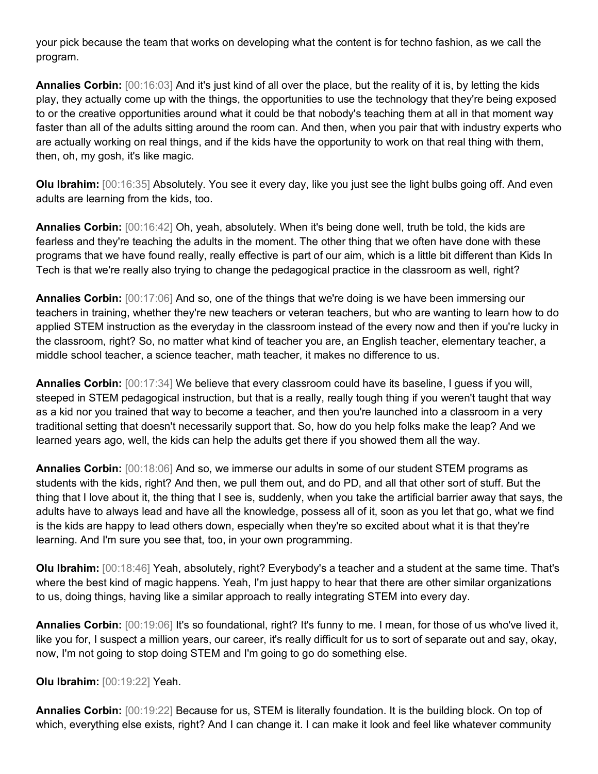your pick because the team that works on developing what the content is for techno fashion, as we call the program.

**Annalies Corbin:** [00:16:03] And it's just kind of all over the place, but the reality of it is, by letting the kids play, they actually come up with the things, the opportunities to use the technology that they're being exposed to or the creative opportunities around what it could be that nobody's teaching them at all in that moment way faster than all of the adults sitting around the room can. And then, when you pair that with industry experts who are actually working on real things, and if the kids have the opportunity to work on that real thing with them, then, oh, my gosh, it's like magic.

**Olu Ibrahim:** [00:16:35] Absolutely. You see it every day, like you just see the light bulbs going off. And even adults are learning from the kids, too.

**Annalies Corbin:** [00:16:42] Oh, yeah, absolutely. When it's being done well, truth be told, the kids are fearless and they're teaching the adults in the moment. The other thing that we often have done with these programs that we have found really, really effective is part of our aim, which is a little bit different than Kids In Tech is that we're really also trying to change the pedagogical practice in the classroom as well, right?

**Annalies Corbin:** [00:17:06] And so, one of the things that we're doing is we have been immersing our teachers in training, whether they're new teachers or veteran teachers, but who are wanting to learn how to do applied STEM instruction as the everyday in the classroom instead of the every now and then if you're lucky in the classroom, right? So, no matter what kind of teacher you are, an English teacher, elementary teacher, a middle school teacher, a science teacher, math teacher, it makes no difference to us.

**Annalies Corbin:** [00:17:34] We believe that every classroom could have its baseline, I guess if you will, steeped in STEM pedagogical instruction, but that is a really, really tough thing if you weren't taught that way as a kid nor you trained that way to become a teacher, and then you're launched into a classroom in a very traditional setting that doesn't necessarily support that. So, how do you help folks make the leap? And we learned years ago, well, the kids can help the adults get there if you showed them all the way.

**Annalies Corbin:** [00:18:06] And so, we immerse our adults in some of our student STEM programs as students with the kids, right? And then, we pull them out, and do PD, and all that other sort of stuff. But the thing that I love about it, the thing that I see is, suddenly, when you take the artificial barrier away that says, the adults have to always lead and have all the knowledge, possess all of it, soon as you let that go, what we find is the kids are happy to lead others down, especially when they're so excited about what it is that they're learning. And I'm sure you see that, too, in your own programming.

**Olu Ibrahim:** [00:18:46] Yeah, absolutely, right? Everybody's a teacher and a student at the same time. That's where the best kind of magic happens. Yeah, I'm just happy to hear that there are other similar organizations to us, doing things, having like a similar approach to really integrating STEM into every day.

**Annalies Corbin:** [00:19:06] It's so foundational, right? It's funny to me. I mean, for those of us who've lived it, like you for, I suspect a million years, our career, it's really difficult for us to sort of separate out and say, okay, now, I'm not going to stop doing STEM and I'm going to go do something else.

**Olu Ibrahim:** [00:19:22] Yeah.

**Annalies Corbin:** [00:19:22] Because for us, STEM is literally foundation. It is the building block. On top of which, everything else exists, right? And I can change it. I can make it look and feel like whatever community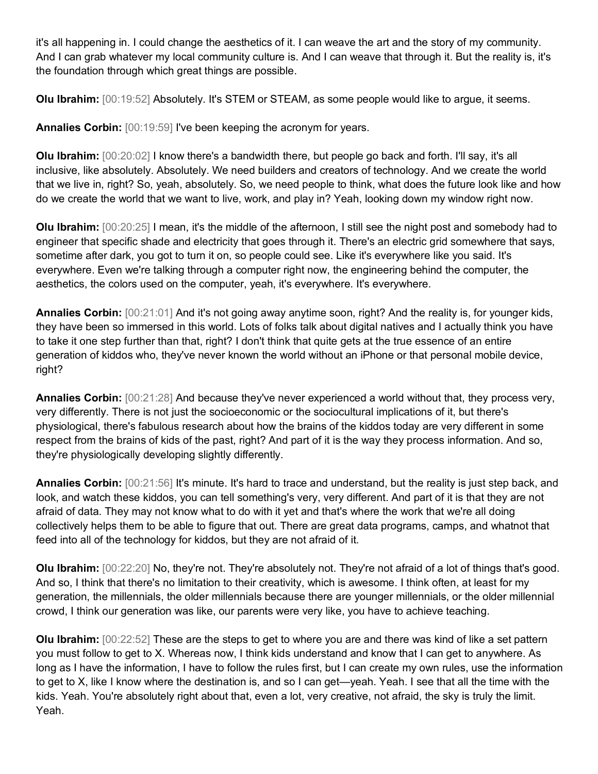it's all happening in. I could change the aesthetics of it. I can weave the art and the story of my community. And I can grab whatever my local community culture is. And I can weave that through it. But the reality is, it's the foundation through which great things are possible.

**Olu Ibrahim:** [00:19:52] Absolutely. It's STEM or STEAM, as some people would like to argue, it seems.

**Annalies Corbin:** [00:19:59] I've been keeping the acronym for years.

**Olu Ibrahim:** [00:20:02] I know there's a bandwidth there, but people go back and forth. I'll say, it's all inclusive, like absolutely. Absolutely. We need builders and creators of technology. And we create the world that we live in, right? So, yeah, absolutely. So, we need people to think, what does the future look like and how do we create the world that we want to live, work, and play in? Yeah, looking down my window right now.

**Olu Ibrahim:** [00:20:25] I mean, it's the middle of the afternoon, I still see the night post and somebody had to engineer that specific shade and electricity that goes through it. There's an electric grid somewhere that says, sometime after dark, you got to turn it on, so people could see. Like it's everywhere like you said. It's everywhere. Even we're talking through a computer right now, the engineering behind the computer, the aesthetics, the colors used on the computer, yeah, it's everywhere. It's everywhere.

**Annalies Corbin:** [00:21:01] And it's not going away anytime soon, right? And the reality is, for younger kids, they have been so immersed in this world. Lots of folks talk about digital natives and I actually think you have to take it one step further than that, right? I don't think that quite gets at the true essence of an entire generation of kiddos who, they've never known the world without an iPhone or that personal mobile device, right?

**Annalies Corbin:** [00:21:28] And because they've never experienced a world without that, they process very, very differently. There is not just the socioeconomic or the sociocultural implications of it, but there's physiological, there's fabulous research about how the brains of the kiddos today are very different in some respect from the brains of kids of the past, right? And part of it is the way they process information. And so, they're physiologically developing slightly differently.

**Annalies Corbin:** [00:21:56] It's minute. It's hard to trace and understand, but the reality is just step back, and look, and watch these kiddos, you can tell something's very, very different. And part of it is that they are not afraid of data. They may not know what to do with it yet and that's where the work that we're all doing collectively helps them to be able to figure that out. There are great data programs, camps, and whatnot that feed into all of the technology for kiddos, but they are not afraid of it.

**Olu Ibrahim:** [00:22:20] No, they're not. They're absolutely not. They're not afraid of a lot of things that's good. And so, I think that there's no limitation to their creativity, which is awesome. I think often, at least for my generation, the millennials, the older millennials because there are younger millennials, or the older millennial crowd, I think our generation was like, our parents were very like, you have to achieve teaching.

**Olu Ibrahim:** [00:22:52] These are the steps to get to where you are and there was kind of like a set pattern you must follow to get to X. Whereas now, I think kids understand and know that I can get to anywhere. As long as I have the information, I have to follow the rules first, but I can create my own rules, use the information to get to X, like I know where the destination is, and so I can get—yeah. Yeah. I see that all the time with the kids. Yeah. You're absolutely right about that, even a lot, very creative, not afraid, the sky is truly the limit. Yeah.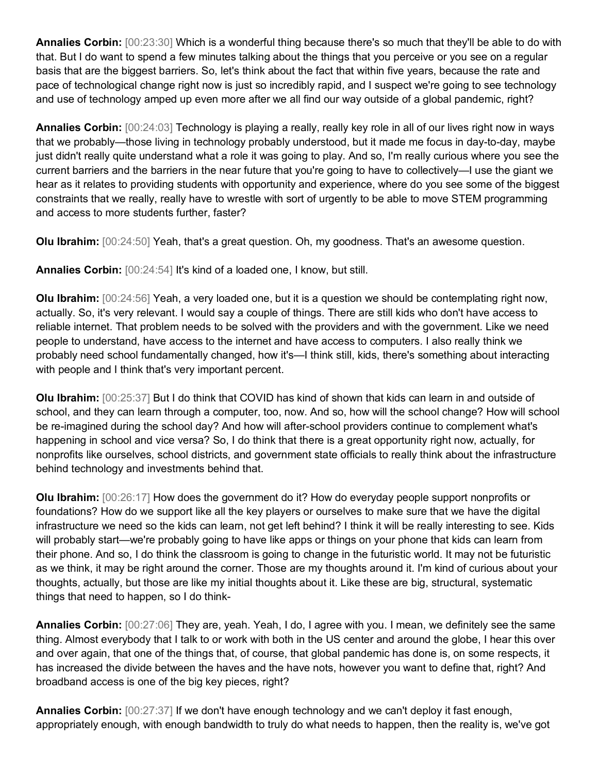**Annalies Corbin:** [00:23:30] Which is a wonderful thing because there's so much that they'll be able to do with that. But I do want to spend a few minutes talking about the things that you perceive or you see on a regular basis that are the biggest barriers. So, let's think about the fact that within five years, because the rate and pace of technological change right now is just so incredibly rapid, and I suspect we're going to see technology and use of technology amped up even more after we all find our way outside of a global pandemic, right?

**Annalies Corbin:** [00:24:03] Technology is playing a really, really key role in all of our lives right now in ways that we probably—those living in technology probably understood, but it made me focus in day-to-day, maybe just didn't really quite understand what a role it was going to play. And so, I'm really curious where you see the current barriers and the barriers in the near future that you're going to have to collectively—I use the giant we hear as it relates to providing students with opportunity and experience, where do you see some of the biggest constraints that we really, really have to wrestle with sort of urgently to be able to move STEM programming and access to more students further, faster?

**Olu Ibrahim:** [00:24:50] Yeah, that's a great question. Oh, my goodness. That's an awesome question.

**Annalies Corbin:** [00:24:54] It's kind of a loaded one, I know, but still.

**Olu Ibrahim:** [00:24:56] Yeah, a very loaded one, but it is a question we should be contemplating right now, actually. So, it's very relevant. I would say a couple of things. There are still kids who don't have access to reliable internet. That problem needs to be solved with the providers and with the government. Like we need people to understand, have access to the internet and have access to computers. I also really think we probably need school fundamentally changed, how it's—I think still, kids, there's something about interacting with people and I think that's very important percent.

**Olu Ibrahim:** [00:25:37] But I do think that COVID has kind of shown that kids can learn in and outside of school, and they can learn through a computer, too, now. And so, how will the school change? How will school be re-imagined during the school day? And how will after-school providers continue to complement what's happening in school and vice versa? So, I do think that there is a great opportunity right now, actually, for nonprofits like ourselves, school districts, and government state officials to really think about the infrastructure behind technology and investments behind that.

**Olu Ibrahim:** [00:26:17] How does the government do it? How do everyday people support nonprofits or foundations? How do we support like all the key players or ourselves to make sure that we have the digital infrastructure we need so the kids can learn, not get left behind? I think it will be really interesting to see. Kids will probably start—we're probably going to have like apps or things on your phone that kids can learn from their phone. And so, I do think the classroom is going to change in the futuristic world. It may not be futuristic as we think, it may be right around the corner. Those are my thoughts around it. I'm kind of curious about your thoughts, actually, but those are like my initial thoughts about it. Like these are big, structural, systematic things that need to happen, so I do think-

**Annalies Corbin:** [00:27:06] They are, yeah. Yeah, I do, I agree with you. I mean, we definitely see the same thing. Almost everybody that I talk to or work with both in the US center and around the globe, I hear this over and over again, that one of the things that, of course, that global pandemic has done is, on some respects, it has increased the divide between the haves and the have nots, however you want to define that, right? And broadband access is one of the big key pieces, right?

**Annalies Corbin:** [00:27:37] If we don't have enough technology and we can't deploy it fast enough, appropriately enough, with enough bandwidth to truly do what needs to happen, then the reality is, we've got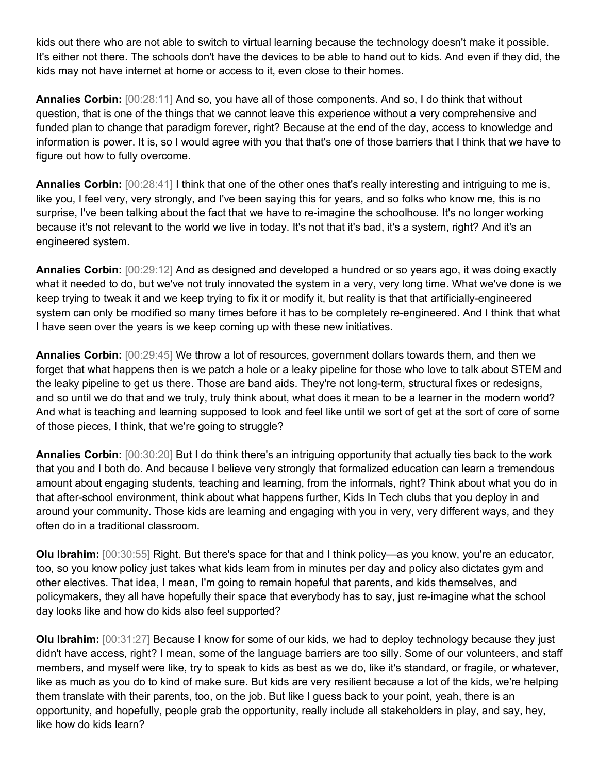kids out there who are not able to switch to virtual learning because the technology doesn't make it possible. It's either not there. The schools don't have the devices to be able to hand out to kids. And even if they did, the kids may not have internet at home or access to it, even close to their homes.

**Annalies Corbin:** [00:28:11] And so, you have all of those components. And so, I do think that without question, that is one of the things that we cannot leave this experience without a very comprehensive and funded plan to change that paradigm forever, right? Because at the end of the day, access to knowledge and information is power. It is, so I would agree with you that that's one of those barriers that I think that we have to figure out how to fully overcome.

**Annalies Corbin:** [00:28:41] I think that one of the other ones that's really interesting and intriguing to me is, like you, I feel very, very strongly, and I've been saying this for years, and so folks who know me, this is no surprise, I've been talking about the fact that we have to re-imagine the schoolhouse. It's no longer working because it's not relevant to the world we live in today. It's not that it's bad, it's a system, right? And it's an engineered system.

**Annalies Corbin:** [00:29:12] And as designed and developed a hundred or so years ago, it was doing exactly what it needed to do, but we've not truly innovated the system in a very, very long time. What we've done is we keep trying to tweak it and we keep trying to fix it or modify it, but reality is that that artificially-engineered system can only be modified so many times before it has to be completely re-engineered. And I think that what I have seen over the years is we keep coming up with these new initiatives.

**Annalies Corbin:** [00:29:45] We throw a lot of resources, government dollars towards them, and then we forget that what happens then is we patch a hole or a leaky pipeline for those who love to talk about STEM and the leaky pipeline to get us there. Those are band aids. They're not long-term, structural fixes or redesigns, and so until we do that and we truly, truly think about, what does it mean to be a learner in the modern world? And what is teaching and learning supposed to look and feel like until we sort of get at the sort of core of some of those pieces, I think, that we're going to struggle?

**Annalies Corbin:** [00:30:20] But I do think there's an intriguing opportunity that actually ties back to the work that you and I both do. And because I believe very strongly that formalized education can learn a tremendous amount about engaging students, teaching and learning, from the informals, right? Think about what you do in that after-school environment, think about what happens further, Kids In Tech clubs that you deploy in and around your community. Those kids are learning and engaging with you in very, very different ways, and they often do in a traditional classroom.

**Olu Ibrahim:** [00:30:55] Right. But there's space for that and I think policy—as you know, you're an educator, too, so you know policy just takes what kids learn from in minutes per day and policy also dictates gym and other electives. That idea, I mean, I'm going to remain hopeful that parents, and kids themselves, and policymakers, they all have hopefully their space that everybody has to say, just re-imagine what the school day looks like and how do kids also feel supported?

**Olu Ibrahim:** [00:31:27] Because I know for some of our kids, we had to deploy technology because they just didn't have access, right? I mean, some of the language barriers are too silly. Some of our volunteers, and staff members, and myself were like, try to speak to kids as best as we do, like it's standard, or fragile, or whatever, like as much as you do to kind of make sure. But kids are very resilient because a lot of the kids, we're helping them translate with their parents, too, on the job. But like I guess back to your point, yeah, there is an opportunity, and hopefully, people grab the opportunity, really include all stakeholders in play, and say, hey, like how do kids learn?